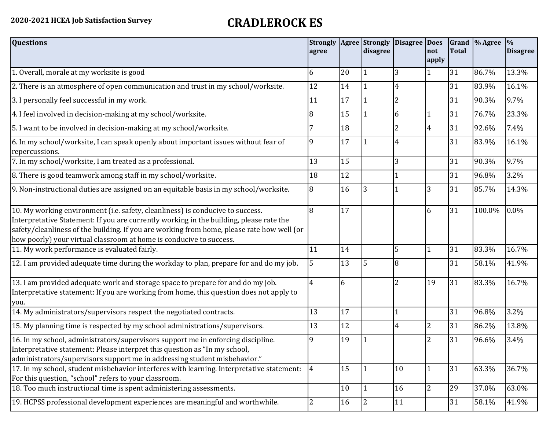## **2020-2021 HCEA Job Satisfaction Survey CRADLEROCK ES**

| <b>Questions</b>                                                                                                                                                                                                                                                                                                                               | <b>Strongly</b><br>agree |    | <b>Agree</b> Strongly<br>disagree | Disagree Does  | not<br>apply   | <b>Total</b> | Grand % Agree | $\frac{9}{6}$<br><b>Disagree</b> |
|------------------------------------------------------------------------------------------------------------------------------------------------------------------------------------------------------------------------------------------------------------------------------------------------------------------------------------------------|--------------------------|----|-----------------------------------|----------------|----------------|--------------|---------------|----------------------------------|
| 1. Overall, morale at my worksite is good                                                                                                                                                                                                                                                                                                      | 6                        | 20 |                                   | 3              |                | 31           | 86.7%         | 13.3%                            |
| 2. There is an atmosphere of open communication and trust in my school/worksite.                                                                                                                                                                                                                                                               | 12                       | 14 | 1                                 | 4              |                | 31           | 83.9%         | 16.1%                            |
| 3. I personally feel successful in my work.                                                                                                                                                                                                                                                                                                    | 11                       | 17 |                                   | $\overline{2}$ |                | 31           | 90.3%         | 9.7%                             |
| 4. I feel involved in decision-making at my school/worksite.                                                                                                                                                                                                                                                                                   | 8                        | 15 | $\mathbf{1}$                      | 6              |                | 31           | 76.7%         | 23.3%                            |
| 5. I want to be involved in decision-making at my school/worksite.                                                                                                                                                                                                                                                                             |                          | 18 |                                   | $\overline{2}$ | $\overline{4}$ | 31           | 92.6%         | 7.4%                             |
| 6. In my school/worksite, I can speak openly about important issues without fear of<br>repercussions.                                                                                                                                                                                                                                          | 9                        | 17 |                                   | 4              |                | 31           | 83.9%         | 16.1%                            |
| 7. In my school/worksite, I am treated as a professional.                                                                                                                                                                                                                                                                                      | 13                       | 15 |                                   | 3              |                | 31           | 90.3%         | 9.7%                             |
| 8. There is good teamwork among staff in my school/worksite.                                                                                                                                                                                                                                                                                   | 18                       | 12 |                                   |                |                | 31           | 96.8%         | 3.2%                             |
| 9. Non-instructional duties are assigned on an equitable basis in my school/worksite.                                                                                                                                                                                                                                                          | 8                        | 16 | 3                                 |                | 3              | 31           | 85.7%         | 14.3%                            |
| 10. My working environment (i.e. safety, cleanliness) is conducive to success.<br>Interpretative Statement: If you are currently working in the building, please rate the<br>safety/cleanliness of the building. If you are working from home, please rate how well (or<br>how poorly) your virtual classroom at home is conducive to success. | 8                        | 17 |                                   |                | 6              | 31           | 100.0%        | 0.0%                             |
| 11. My work performance is evaluated fairly.                                                                                                                                                                                                                                                                                                   | 11                       | 14 |                                   | 5              |                | 31           | 83.3%         | 16.7%                            |
| 12. I am provided adequate time during the workday to plan, prepare for and do my job.                                                                                                                                                                                                                                                         | 5                        | 13 | 5                                 | 8              |                | 31           | 58.1%         | 41.9%                            |
| 13. I am provided adequate work and storage space to prepare for and do my job.<br>Interpretative statement: If you are working from home, this question does not apply to<br>you.                                                                                                                                                             | 4                        | 6  |                                   | 2              | 19             | 31           | 83.3%         | 16.7%                            |
| 14. My administrators/supervisors respect the negotiated contracts.                                                                                                                                                                                                                                                                            | 13                       | 17 |                                   |                |                | 31           | 96.8%         | 3.2%                             |
| 15. My planning time is respected by my school administrations/supervisors.                                                                                                                                                                                                                                                                    | 13                       | 12 |                                   | 4              | $\overline{2}$ | 31           | 86.2%         | 13.8%                            |
| 16. In my school, administrators/supervisors support me in enforcing discipline.<br>Interpretative statement: Please interpret this question as "In my school,<br>administrators/supervisors support me in addressing student misbehavior."                                                                                                    | 9                        | 19 |                                   |                | $\overline{2}$ | 31           | 96.6%         | 3.4%                             |
| 17. In my school, student misbehavior interferes with learning. Interpretative statement:<br>For this question, "school" refers to your classroom.                                                                                                                                                                                             | $\vert 4 \vert$          | 15 | l 1                               | 10             | 1              | 31           | 63.3%         | 36.7%                            |
| 18. Too much instructional time is spent administering assessments.                                                                                                                                                                                                                                                                            |                          | 10 | I1                                | 16             | $\overline{2}$ | 29           | 37.0%         | 63.0%                            |
| 19. HCPSS professional development experiences are meaningful and worthwhile.                                                                                                                                                                                                                                                                  | 2                        | 16 | <u> 2</u>                         | 11             |                | 31           | 58.1%         | 41.9%                            |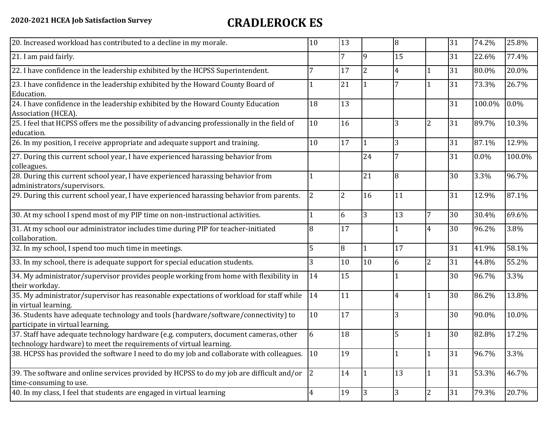## **2020-2021 HCEA Job Satisfaction Survey CRADLEROCK ES**

| 20. Increased workload has contributed to a decline in my morale.                                                                                          | 10             | 13             |                | 8              |                | 31 | 74.2%   | 25.8%  |
|------------------------------------------------------------------------------------------------------------------------------------------------------------|----------------|----------------|----------------|----------------|----------------|----|---------|--------|
| 21. I am paid fairly.                                                                                                                                      |                | 7              | 9              | 15             |                | 31 | 22.6%   | 77.4%  |
| 22. I have confidence in the leadership exhibited by the HCPSS Superintendent.                                                                             |                | 17             | $\overline{2}$ | $\overline{4}$ |                | 31 | 80.0%   | 20.0%  |
| 23. I have confidence in the leadership exhibited by the Howard County Board of<br>Education.                                                              |                | 21             |                |                |                | 31 | 73.3%   | 26.7%  |
| 24. I have confidence in the leadership exhibited by the Howard County Education<br>Association (HCEA).                                                    | 18             | 13             |                |                |                | 31 | 100.0%  | 0.0%   |
| 25. I feel that HCPSS offers me the possibility of advancing professionally in the field of<br>education.                                                  | 10             | 16             |                | 3              | $\overline{2}$ | 31 | 89.7%   | 10.3%  |
| 26. In my position, I receive appropriate and adequate support and training.                                                                               | 10             | 17             |                | 3              |                | 31 | 87.1%   | 12.9%  |
| 27. During this current school year, I have experienced harassing behavior from<br>colleagues.                                                             |                |                | 24             | 7              |                | 31 | $0.0\%$ | 100.0% |
| 28. During this current school year, I have experienced harassing behavior from<br>administrators/supervisors.                                             |                |                | 21             | 8              |                | 30 | 3.3%    | 96.7%  |
| 29. During this current school year, I have experienced harassing behavior from parents.                                                                   | $\overline{2}$ | $\overline{2}$ | 16             | 11             |                | 31 | 12.9%   | 87.1%  |
| 30. At my school I spend most of my PIP time on non-instructional activities.                                                                              |                | 6              | 3              | 13             | $\overline{7}$ | 30 | 30.4%   | 69.6%  |
| 31. At my school our administrator includes time during PIP for teacher-initiated<br>collaboration.                                                        | 8              | 17             |                |                | 4              | 30 | 96.2%   | 3.8%   |
| 32. In my school, I spend too much time in meetings.                                                                                                       | 5              | 8              |                | 17             |                | 31 | 41.9%   | 58.1%  |
| 33. In my school, there is adequate support for special education students.                                                                                | 3              | 10             | 10             | 6              | $\overline{2}$ | 31 | 44.8%   | 55.2%  |
| 34. My administrator/supervisor provides people working from home with flexibility in<br>their workday.                                                    | 14             | 15             |                |                |                | 30 | 96.7%   | 3.3%   |
| 35. My administrator/supervisor has reasonable expectations of workload for staff while<br>in virtual learning.                                            | 14             | 11             |                | 4              | 1              | 30 | 86.2%   | 13.8%  |
| 36. Students have adequate technology and tools (hardware/software/connectivity) to<br>participate in virtual learning.                                    | 10             | 17             |                | 3              |                | 30 | 90.0%   | 10.0%  |
| 37. Staff have adequate technology hardware (e.g. computers, document cameras, other<br>technology hardware) to meet the requirements of virtual learning. | 6              | 18             |                | 5              |                | 30 | 82.8%   | 17.2%  |
| 38. HCPSS has provided the software I need to do my job and collaborate with colleagues.                                                                   | 10             | 19             |                |                | $\mathbf{1}$   | 31 | 96.7%   | 3.3%   |
| 39. The software and online services provided by HCPSS to do my job are difficult and/or<br>time-consuming to use.                                         | 2              | 14             |                | 13             | $\mathbf{1}$   | 31 | 53.3%   | 46.7%  |
| 40. In my class, I feel that students are engaged in virtual learning                                                                                      | 4              | 19             | 3              | 3              | $\overline{2}$ | 31 | 79.3%   | 20.7%  |
|                                                                                                                                                            |                |                |                |                |                |    |         |        |